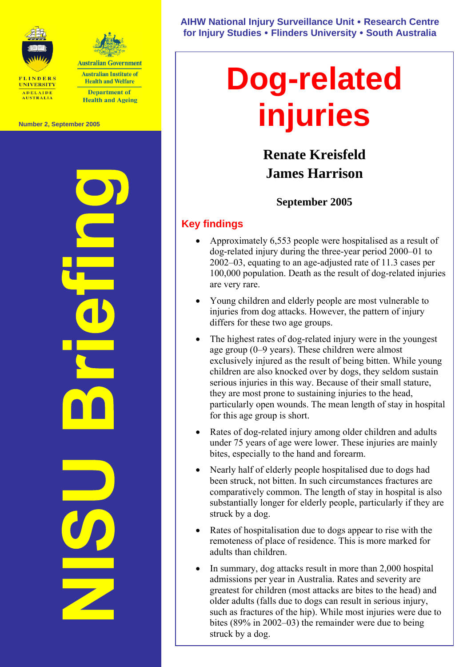



**Australian Institute of Health and Welfare Department of Health and Ageing** 

**Number 2, September 2005** 



**AIHW National Injury Surveillance Unit** y **Research Centre for Injury Studies** y **Flinders University** y **South Australia** 

# **Dog-related injuries**

## **Renate Kreisfeld James Harrison**

## **September 2005**

## **Key findings**

- Approximately 6,553 people were hospitalised as a result of dog-related injury during the three-year period 2000–01 to 2002–03, equating to an age-adjusted rate of 11.3 cases per 100,000 population. Death as the result of dog-related injuries are very rare.
- Young children and elderly people are most vulnerable to injuries from dog attacks. However, the pattern of injury differs for these two age groups.
- The highest rates of dog-related injury were in the youngest age group (0–9 years). These children were almost exclusively injured as the result of being bitten. While young children are also knocked over by dogs, they seldom sustain serious injuries in this way. Because of their small stature, they are most prone to sustaining injuries to the head, particularly open wounds. The mean length of stay in hospital for this age group is short.
- Rates of dog-related injury among older children and adults under 75 years of age were lower. These injuries are mainly bites, especially to the hand and forearm.
- Nearly half of elderly people hospitalised due to dogs had been struck, not bitten. In such circumstances fractures are comparatively common. The length of stay in hospital is also substantially longer for elderly people, particularly if they are struck by a dog.
- Rates of hospitalisation due to dogs appear to rise with the remoteness of place of residence. This is more marked for adults than children.
- In summary, dog attacks result in more than 2,000 hospital admissions per year in Australia. Rates and severity are greatest for children (most attacks are bites to the head) and older adults (falls due to dogs can result in serious injury, such as fractures of the hip). While most injuries were due to bites (89% in 2002–03) the remainder were due to being struck by a dog.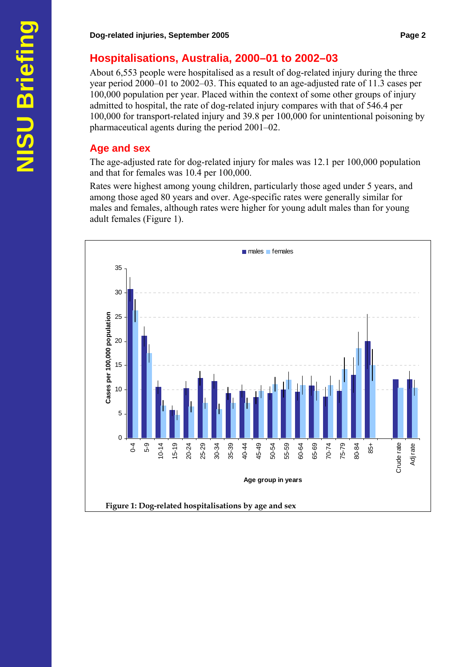## **Hospitalisations, Australia, 2000–01 to 2002–03**

About 6,553 people were hospitalised as a result of dog-related injury during the three year period 2000–01 to 2002–03. This equated to an age-adjusted rate of 11.3 cases per 100,000 population per year. Placed within the context of some other groups of injury admitted to hospital, the rate of dog-related injury compares with that of 546.4 per 100,000 for transport-related injury and 39.8 per 100,000 for unintentional poisoning by pharmaceutical agents during the period 2001–02.

### **Age and sex**

The age-adjusted rate for dog-related injury for males was 12.1 per 100,000 population and that for females was 10.4 per 100,000.

Rates were highest among young children, particularly those aged under 5 years, and among those aged 80 years and over. Age-specific rates were generally similar for males and females, although rates were higher for young adult males than for young adult females (Figure 1).

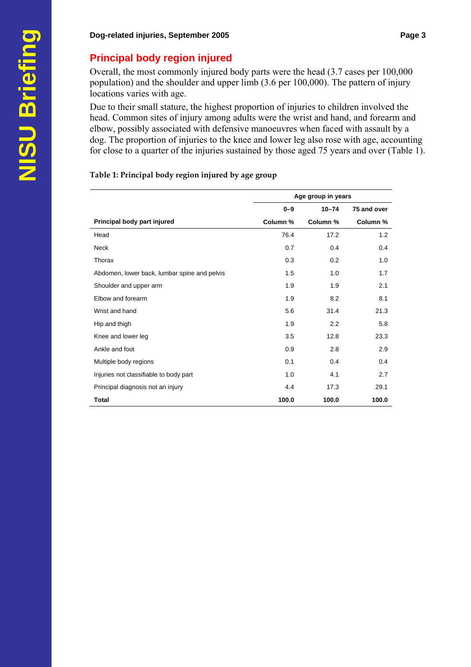## **Principal body region injured**

Overall, the most commonly injured body parts were the head (3.7 cases per 100,000 population) and the shoulder and upper limb (3.6 per 100,000). The pattern of injury locations varies with age.

Due to their small stature, the highest proportion of injuries to children involved the head. Common sites of injury among adults were the wrist and hand, and forearm and elbow, possibly associated with defensive manoeuvres when faced with assault by a dog. The proportion of injuries to the knee and lower leg also rose with age, accounting for close to a quarter of the injuries sustained by those aged 75 years and over (Table 1).

#### **Table 1: Principal body region injured by age group**

|                                              | Age group in years |           |             |
|----------------------------------------------|--------------------|-----------|-------------|
|                                              | $0 - 9$            | $10 - 74$ | 75 and over |
| Principal body part injured                  | Column %           | Column %  | Column %    |
| Head                                         | 76.4               | 17.2      | 1.2         |
| Neck                                         | 0.7                | 0.4       | 0.4         |
| Thorax                                       | 0.3                | 0.2       | 1.0         |
| Abdomen, lower back, lumbar spine and pelvis | 1.5                | 1.0       | 1.7         |
| Shoulder and upper arm                       | 1.9                | 1.9       | 2.1         |
| Elbow and forearm                            | 1.9                | 8.2       | 8.1         |
| Wrist and hand                               | 5.6                | 31.4      | 21.3        |
| Hip and thigh                                | 1.9                | 2.2       | 5.8         |
| Knee and lower leg                           | 3.5                | 12.8      | 23.3        |
| Ankle and foot                               | 0.9                | 2.8       | 2.9         |
| Multiple body regions                        | 0.1                | 0.4       | 0.4         |
| Injuries not classifiable to body part       | 1.0                | 4.1       | 2.7         |
| Principal diagnosis not an injury            | 4.4                | 17.3      | 29.1        |
| Total                                        | 100.0              | 100.0     | 100.0       |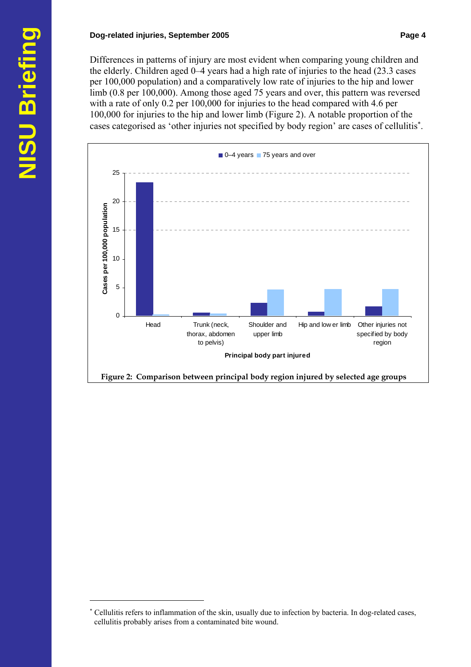#### **Dog-related injuries, September 2005 Page 4 Page 4 Page 4**

Differences in patterns of injury are most evident when comparing young children and the elderly. Children aged 0–4 years had a high rate of injuries to the head (23.3 cases per 100,000 population) and a comparatively low rate of injuries to the hip and lower limb (0.8 per 100,000). Among those aged 75 years and over, this pattern was reversed with a rate of only 0.2 per 100,000 for injuries to the head compared with 4.6 per 100,000 for injuries to the hip and lower limb (Figure 2). A notable proportion of the cases categorised as 'other injuries not specified by body region' are cases of cellulitis<sup>\*</sup>.



 $\overline{a}$ ∗

Cellulitis refers to inflammation of the skin, usually due to infection by bacteria. In dog-related cases, cellulitis probably arises from a contaminated bite wound.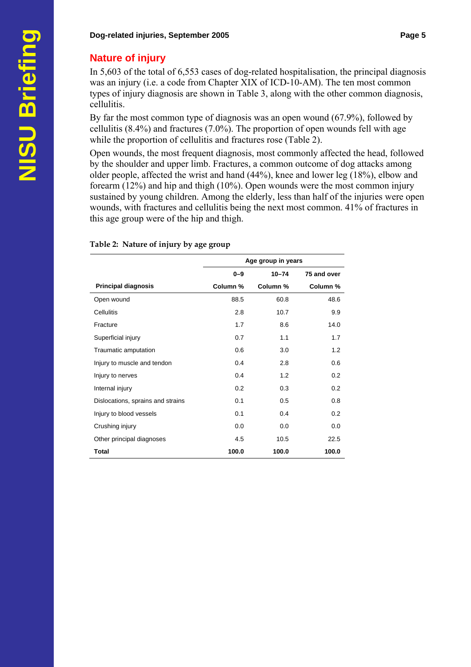#### **Nature of injury**

In 5,603 of the total of 6,553 cases of dog-related hospitalisation, the principal diagnosis was an injury (i.e. a code from Chapter XIX of ICD-10-AM). The ten most common types of injury diagnosis are shown in Table 3, along with the other common diagnosis, cellulitis.

By far the most common type of diagnosis was an open wound (67.9%), followed by cellulitis (8.4%) and fractures (7.0%). The proportion of open wounds fell with age while the proportion of cellulitis and fractures rose (Table 2).

Open wounds, the most frequent diagnosis, most commonly affected the head, followed by the shoulder and upper limb. Fractures, a common outcome of dog attacks among older people, affected the wrist and hand (44%), knee and lower leg (18%), elbow and forearm (12%) and hip and thigh (10%). Open wounds were the most common injury sustained by young children. Among the elderly, less than half of the injuries were open wounds, with fractures and cellulitis being the next most common. 41% of fractures in this age group were of the hip and thigh.

|                                   | Age group in years |           |             |  |
|-----------------------------------|--------------------|-----------|-------------|--|
|                                   | $0 - 9$            | $10 - 74$ | 75 and over |  |
| <b>Principal diagnosis</b>        | Column %           | Column %  | Column %    |  |
| Open wound                        | 88.5               | 60.8      | 48.6        |  |
| Cellulitis                        | 2.8                | 10.7      | 9.9         |  |
| Fracture                          | 1.7                | 8.6       | 14.0        |  |
| Superficial injury                | 0.7                | 1.1       | 1.7         |  |
| Traumatic amputation              | 0.6                | 3.0       | 1.2         |  |
| Injury to muscle and tendon       | 0.4                | 2.8       | 0.6         |  |
| Injury to nerves                  | 0.4                | 1.2       | 0.2         |  |
| Internal injury                   | 0.2                | 0.3       | 0.2         |  |
| Dislocations, sprains and strains | 0.1                | 0.5       | 0.8         |  |
| Injury to blood vessels           | 0.1                | 0.4       | 0.2         |  |
| Crushing injury                   | 0.0                | 0.0       | 0.0         |  |
| Other principal diagnoses         | 4.5                | 10.5      | 22.5        |  |
| Total                             | 100.0              | 100.0     | 100.0       |  |

#### **Table 2: Nature of injury by age group**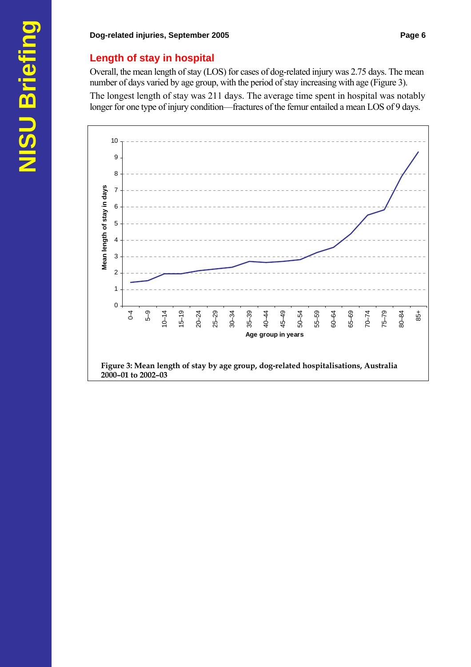## **Length of stay in hospital**

Overall, the mean length of stay (LOS) for cases of dog-related injury was 2.75 days. The mean number of days varied by age group, with the period of stay increasing with age (Figure 3).

The longest length of stay was 211 days. The average time spent in hospital was notably longer for one type of injury condition—fractures of the femur entailed a mean LOS of 9 days.

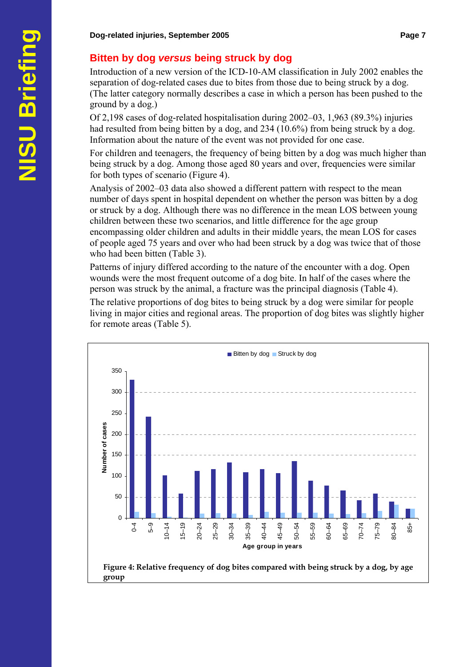## **Bitten by dog** *versus* **being struck by dog**

Introduction of a new version of the ICD-10-AM classification in July 2002 enables the separation of dog-related cases due to bites from those due to being struck by a dog. (The latter category normally describes a case in which a person has been pushed to the ground by a dog.)

Of 2,198 cases of dog-related hospitalisation during 2002–03, 1,963 (89.3%) injuries had resulted from being bitten by a dog, and 234 (10.6%) from being struck by a dog. Information about the nature of the event was not provided for one case.

For children and teenagers, the frequency of being bitten by a dog was much higher than being struck by a dog. Among those aged 80 years and over, frequencies were similar for both types of scenario (Figure 4).

Analysis of 2002–03 data also showed a different pattern with respect to the mean number of days spent in hospital dependent on whether the person was bitten by a dog or struck by a dog. Although there was no difference in the mean LOS between young children between these two scenarios, and little difference for the age group encompassing older children and adults in their middle years, the mean LOS for cases of people aged 75 years and over who had been struck by a dog was twice that of those who had been bitten (Table 3).

Patterns of injury differed according to the nature of the encounter with a dog. Open wounds were the most frequent outcome of a dog bite. In half of the cases where the person was struck by the animal, a fracture was the principal diagnosis (Table 4).

The relative proportions of dog bites to being struck by a dog were similar for people living in major cities and regional areas. The proportion of dog bites was slightly higher for remote areas (Table 5).

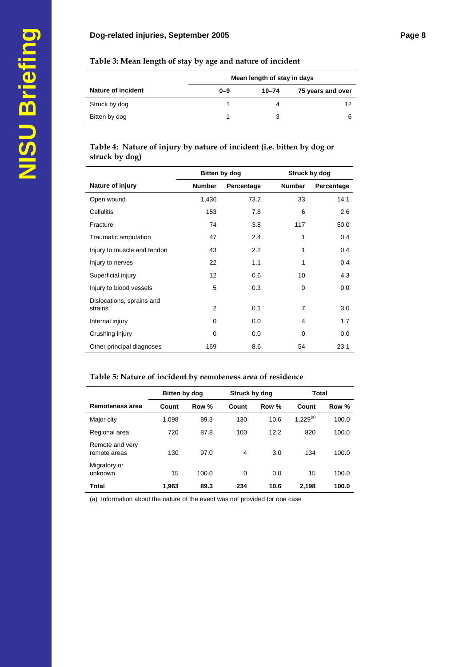#### **Table 3: Mean length of stay by age and nature of incident**

|                           | Mean length of stay in days |       |                   |  |
|---------------------------|-----------------------------|-------|-------------------|--|
| <b>Nature of incident</b> | $0 - 9$                     | 10-74 | 75 years and over |  |
| Struck by dog             |                             |       | 12                |  |
| Bitten by dog             |                             |       |                   |  |

#### **Table 4: Nature of injury by nature of incident (i.e. bitten by dog or struck by dog)**

|                             | Bitten by dog |            | Struck by dog  |            |
|-----------------------------|---------------|------------|----------------|------------|
| Nature of injury            | <b>Number</b> | Percentage | <b>Number</b>  | Percentage |
| Open wound                  | 1,436         | 73.2       | 33             | 14.1       |
| <b>Cellulitis</b>           | 153           | 7.8        | 6              | 2.6        |
| Fracture                    | 74            | 3.8        | 117            | 50.0       |
| Traumatic amputation        | 47            | 2.4        | 1              | 0.4        |
| Injury to muscle and tendon | 43            | 2.2        | 1              | 0.4        |
| Injury to nerves            | 22            | 1.1        | 1              | 0.4        |
| Superficial injury          | 12            | 0.6        | 10             | 4.3        |
| Injury to blood vessels     | 5             | 0.3        | $\Omega$       | 0.0        |
| Dislocations, sprains and   |               |            |                |            |
| strains                     | 2             | 0.1        | $\overline{7}$ | 3.0        |
| Internal injury             | $\Omega$      | 0.0        | 4              | 1.7        |
| Crushing injury             | 0             | 0.0        | 0              | 0.0        |
| Other principal diagnoses   | 169           | 8.6        | 54             | 23.1       |

#### **Table 5: Nature of incident by remoteness area of residence**

|                                 | Bitten by dog |       |                | Struck by dog |                      | Total |
|---------------------------------|---------------|-------|----------------|---------------|----------------------|-------|
| Remoteness area                 | Count         | Row % | Count          | Row %         | Count                | Row % |
| Major city                      | 1,098         | 89.3  | 130            | 10.6          | 1.229 <sup>(a)</sup> | 100.0 |
| Regional area                   | 720           | 87.8  | 100            | 12.2          | 820                  | 100.0 |
| Remote and very<br>remote areas | 130           | 97.0  | $\overline{4}$ | 3.0           | 134                  | 100.0 |
| Migratory or<br>unknown         | 15            | 100.0 | $\Omega$       | 0.0           | 15                   | 100.0 |
| <b>Total</b>                    | 1.963         | 89.3  | 234            | 10.6          | 2.198                | 100.0 |

(a) Information about the nature of the event was not provided for one case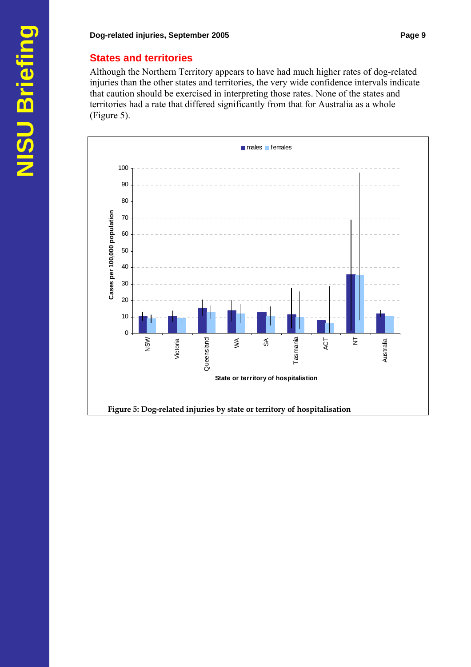#### **States and territories**

Although the Northern Territory appears to have had much higher rates of dog-related injuries than the other states and territories, the very wide confidence intervals indicate that caution should be exercised in interpreting those rates. None of the states and territories had a rate that differed significantly from that for Australia as a whole (Figure 5).

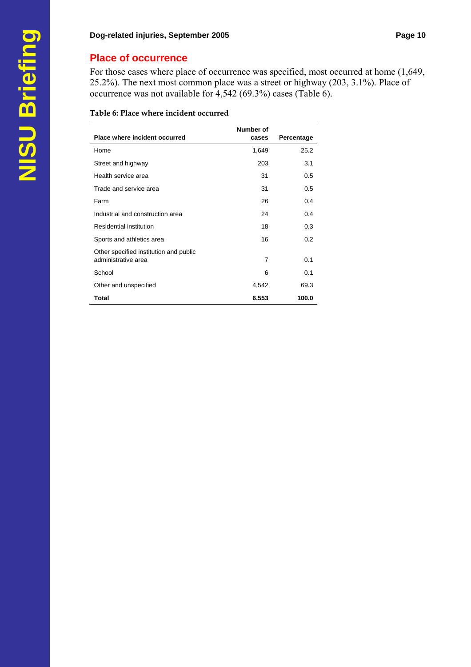## **Place of occurrence**

For those cases where place of occurrence was specified, most occurred at home (1,649, 25.2%). The next most common place was a street or highway (203, 3.1%). Place of occurrence was not available for 4,542 (69.3%) cases (Table 6).

#### **Table 6: Place where incident occurred**

| Place where incident occurred                                 | Number of<br>cases | Percentage |
|---------------------------------------------------------------|--------------------|------------|
| Home                                                          | 1,649              | 25.2       |
| Street and highway                                            | 203                | 3.1        |
| Health service area                                           | 31                 | 0.5        |
| Trade and service area                                        | 31                 | 0.5        |
| Farm                                                          | 26                 | 0.4        |
| Industrial and construction area                              | 24                 | 0.4        |
| Residential institution                                       | 18                 | 0.3        |
| Sports and athletics area                                     | 16                 | 0.2        |
| Other specified institution and public<br>administrative area | $\overline{7}$     | 0.1        |
| School                                                        | 6                  | 0.1        |
| Other and unspecified                                         | 4,542              | 69.3       |
| Total                                                         | 6,553              | 100.0      |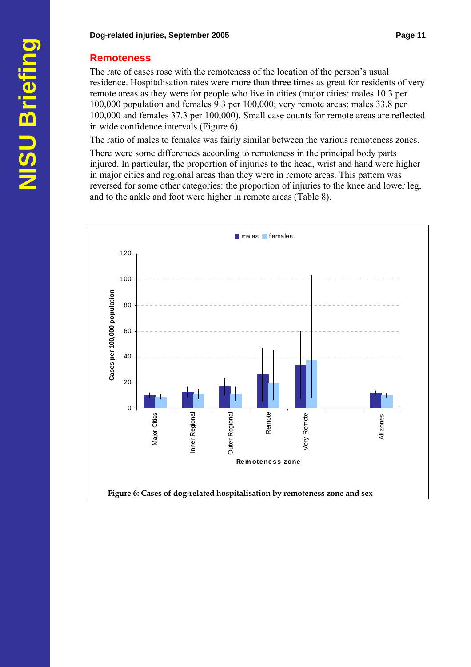#### **Remoteness**

The rate of cases rose with the remoteness of the location of the person's usual residence. Hospitalisation rates were more than three times as great for residents of very remote areas as they were for people who live in cities (major cities: males 10.3 per 100,000 population and females 9.3 per 100,000; very remote areas: males 33.8 per 100,000 and females 37.3 per 100,000). Small case counts for remote areas are reflected in wide confidence intervals (Figure 6).

The ratio of males to females was fairly similar between the various remoteness zones.

There were some differences according to remoteness in the principal body parts injured. In particular, the proportion of injuries to the head, wrist and hand were higher in major cities and regional areas than they were in remote areas. This pattern was reversed for some other categories: the proportion of injuries to the knee and lower leg, and to the ankle and foot were higher in remote areas (Table 8).

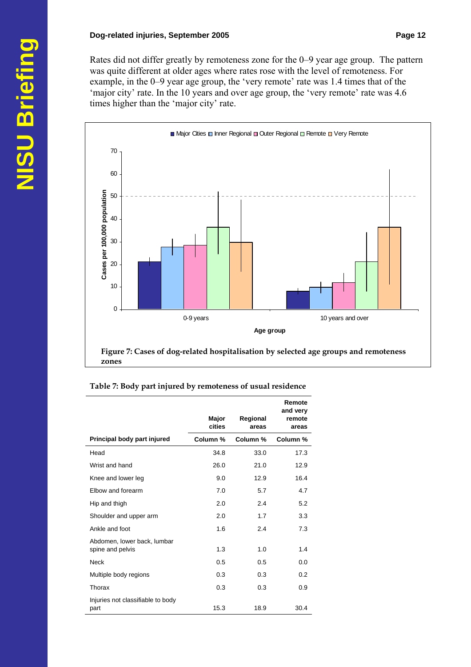Rates did not differ greatly by remoteness zone for the 0–9 year age group. The pattern was quite different at older ages where rates rose with the level of remoteness. For example, in the 0–9 year age group, the 'very remote' rate was 1.4 times that of the 'major city' rate. In the 10 years and over age group, the 'very remote' rate was 4.6 times higher than the 'major city' rate.



| Table 7: Body part injured by remoteness of usual residence |  |  |
|-------------------------------------------------------------|--|--|
|                                                             |  |  |

|                                                 | Major<br>cities | Regional<br>areas | Remote<br>and very<br>remote<br>areas |
|-------------------------------------------------|-----------------|-------------------|---------------------------------------|
| Principal body part injured                     | Column %        | Column %          | Column %                              |
| Head                                            | 34.8            | 33.0              | 17.3                                  |
| Wrist and hand                                  | 26.0            | 21.0              | 12.9                                  |
| Knee and lower leg                              | 9.0             | 12.9              | 16.4                                  |
| Elbow and forearm                               | 7.0             | 5.7               | 4.7                                   |
| Hip and thigh                                   | 2.0             | 2.4               | 5.2                                   |
| Shoulder and upper arm                          | 2.0             | 1.7               | 3.3                                   |
| Ankle and foot                                  | 1.6             | 2.4               | 7.3                                   |
| Abdomen, lower back, lumbar<br>spine and pelvis | 1.3             | 1.0               | 1.4                                   |
| <b>Neck</b>                                     | 0.5             | 0.5               | 0.0                                   |
| Multiple body regions                           | 0.3             | 0.3               | 0.2                                   |
| Thorax                                          | 0.3             | 0.3               | 0.9                                   |
| Injuries not classifiable to body<br>part       | 15.3            | 18.9              | 30.4                                  |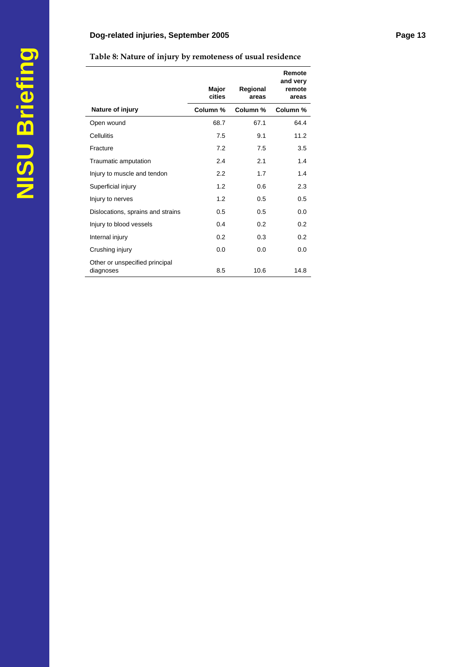|                                             | Major<br>cities | Regional<br>areas | Remote<br>and very<br>remote<br>areas |
|---------------------------------------------|-----------------|-------------------|---------------------------------------|
| Nature of injury                            | Column %        | Column %          | Column %                              |
| Open wound                                  | 68.7            | 67.1              | 64.4                                  |
| Cellulitis                                  | 7.5             | 9.1               | 11.2                                  |
| Fracture                                    | 7.2             | 7.5               | 3.5                                   |
| Traumatic amputation                        | 2.4             | 2.1               | 1.4                                   |
| Injury to muscle and tendon                 | 2.2             | 1.7               | 1.4                                   |
| Superficial injury                          | 1.2             | 0.6               | 2.3                                   |
| Injury to nerves                            | 1.2             | 0.5               | 0.5                                   |
| Dislocations, sprains and strains           | 0.5             | 0.5               | 0.0                                   |
| Injury to blood vessels                     | 0.4             | 0.2               | 0.2                                   |
| Internal injury                             | 0.2             | 0.3               | 0.2                                   |
| Crushing injury                             | 0.0             | 0.0               | 0.0                                   |
| Other or unspecified principal<br>diagnoses | 8.5             | 10.6              | 14.8                                  |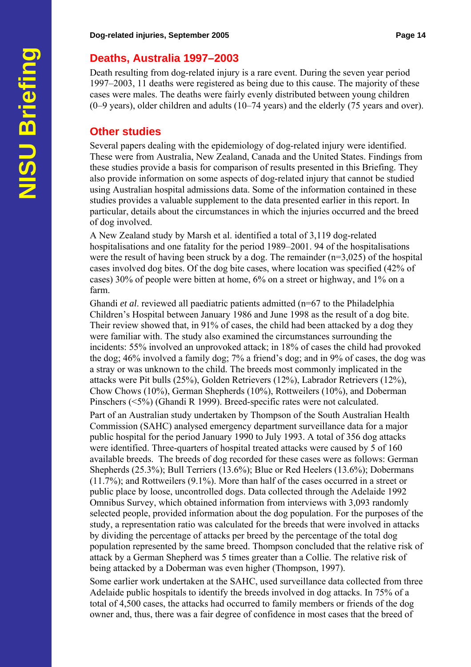## **Deaths, Australia 1997–2003**

Death resulting from dog-related injury is a rare event. During the seven year period 1997–2003, 11 deaths were registered as being due to this cause. The majority of these cases were males. The deaths were fairly evenly distributed between young children (0–9 years), older children and adults (10–74 years) and the elderly (75 years and over).

## **Other studies**

Several papers dealing with the epidemiology of dog-related injury were identified. These were from Australia, New Zealand, Canada and the United States. Findings from these studies provide a basis for comparison of results presented in this Briefing. They also provide information on some aspects of dog-related injury that cannot be studied using Australian hospital admissions data. Some of the information contained in these studies provides a valuable supplement to the data presented earlier in this report. In particular, details about the circumstances in which the injuries occurred and the breed of dog involved.

A New Zealand study by Marsh et al. identified a total of 3,119 dog-related hospitalisations and one fatality for the period 1989–2001. 94 of the hospitalisations were the result of having been struck by a dog. The remainder  $(n=3,025)$  of the hospital cases involved dog bites. Of the dog bite cases, where location was specified (42% of cases) 30% of people were bitten at home, 6% on a street or highway, and 1% on a farm.

Ghandi *et al.* reviewed all paediatric patients admitted (n=67 to the Philadelphia Children's Hospital between January 1986 and June 1998 as the result of a dog bite. Their review showed that, in 91% of cases, the child had been attacked by a dog they were familiar with. The study also examined the circumstances surrounding the incidents: 55% involved an unprovoked attack; in 18% of cases the child had provoked the dog; 46% involved a family dog; 7% a friend's dog; and in 9% of cases, the dog was a stray or was unknown to the child. The breeds most commonly implicated in the attacks were Pit bulls (25%), Golden Retrievers (12%), Labrador Retrievers (12%), Chow Chows (10%), German Shepherds (10%), Rottweilers (10%), and Doberman Pinschers (<5%) (Ghandi R 1999). Breed-specific rates were not calculated.

Part of an Australian study undertaken by Thompson of the South Australian Health Commission (SAHC) analysed emergency department surveillance data for a major public hospital for the period January 1990 to July 1993. A total of 356 dog attacks were identified. Three-quarters of hospital treated attacks were caused by 5 of 160 available breeds. The breeds of dog recorded for these cases were as follows: German Shepherds (25.3%); Bull Terriers (13.6%); Blue or Red Heelers (13.6%); Dobermans (11.7%); and Rottweilers (9.1%). More than half of the cases occurred in a street or public place by loose, uncontrolled dogs. Data collected through the Adelaide 1992 Omnibus Survey, which obtained information from interviews with 3,093 randomly selected people, provided information about the dog population. For the purposes of the study, a representation ratio was calculated for the breeds that were involved in attacks by dividing the percentage of attacks per breed by the percentage of the total dog population represented by the same breed. Thompson concluded that the relative risk of attack by a German Shepherd was 5 times greater than a Collie. The relative risk of being attacked by a Doberman was even higher (Thompson, 1997).

Some earlier work undertaken at the SAHC, used surveillance data collected from three Adelaide public hospitals to identify the breeds involved in dog attacks. In 75% of a total of 4,500 cases, the attacks had occurred to family members or friends of the dog owner and, thus, there was a fair degree of confidence in most cases that the breed of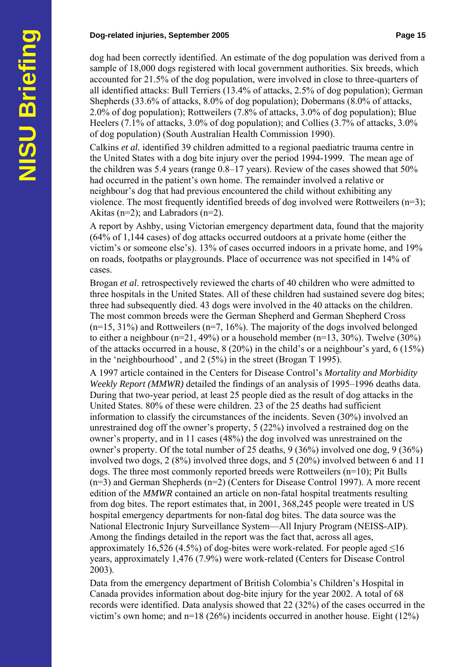#### **Dog-related injuries, September 2005 Page 15 and September 2005**

dog had been correctly identified. An estimate of the dog population was derived from a sample of 18,000 dogs registered with local government authorities. Six breeds, which accounted for 21.5% of the dog population, were involved in close to three-quarters of all identified attacks: Bull Terriers (13.4% of attacks, 2.5% of dog population); German Shepherds (33.6% of attacks, 8.0% of dog population); Dobermans (8.0% of attacks, 2.0% of dog population); Rottweilers (7.8% of attacks, 3.0% of dog population); Blue Heelers (7.1% of attacks, 3.0% of dog population); and Collies (3.7% of attacks, 3.0% of dog population) (South Australian Health Commission 1990).

Calkins *et al.* identified 39 children admitted to a regional paediatric trauma centre in the United States with a dog bite injury over the period 1994-1999. The mean age of the children was 5.4 years (range 0.8–17 years). Review of the cases showed that 50% had occurred in the patient's own home. The remainder involved a relative or neighbour's dog that had previous encountered the child without exhibiting any violence. The most frequently identified breeds of dog involved were Rottweilers (n=3); Akitas ( $n=2$ ); and Labradors ( $n=2$ ).

A report by Ashby, using Victorian emergency department data, found that the majority (64% of 1,144 cases) of dog attacks occurred outdoors at a private home (either the victim's or someone else's). 13% of cases occurred indoors in a private home, and 19% on roads, footpaths or playgrounds. Place of occurrence was not specified in 14% of cases.

Brogan *et al*. retrospectively reviewed the charts of 40 children who were admitted to three hospitals in the United States. All of these children had sustained severe dog bites; three had subsequently died. 43 dogs were involved in the 40 attacks on the children. The most common breeds were the German Shepherd and German Shepherd Cross  $(n=15, 31\%)$  and Rottweilers  $(n=7, 16\%)$ . The majority of the dogs involved belonged to either a neighbour ( $n=21$ , 49%) or a household member ( $n=13$ , 30%). Twelve (30%) of the attacks occurred in a house, 8 (20%) in the child's or a neighbour's yard, 6 (15%) in the 'neighbourhood' , and 2 (5%) in the street (Brogan T 1995).

A 1997 article contained in the Centers for Disease Control's *Mortality and Morbidity Weekly Report (MMWR)* detailed the findings of an analysis of 1995–1996 deaths data. During that two-year period, at least 25 people died as the result of dog attacks in the United States. 80% of these were children. 23 of the 25 deaths had sufficient information to classify the circumstances of the incidents. Seven (30%) involved an unrestrained dog off the owner's property, 5 (22%) involved a restrained dog on the owner's property, and in 11 cases (48%) the dog involved was unrestrained on the owner's property. Of the total number of 25 deaths, 9 (36%) involved one dog, 9 (36%) involved two dogs, 2 (8%) involved three dogs, and 5 (20%) involved between 6 and 11 dogs. The three most commonly reported breeds were Rottweilers (n=10); Pit Bulls (n=3) and German Shepherds (n=2) (Centers for Disease Control 1997). A more recent edition of the *MMWR* contained an article on non-fatal hospital treatments resulting from dog bites. The report estimates that, in 2001, 368,245 people were treated in US hospital emergency departments for non-fatal dog bites. The data source was the National Electronic Injury Surveillance System—All Injury Program (NEISS-AIP). Among the findings detailed in the report was the fact that, across all ages, approximately 16,526 (4.5%) of dog-bites were work-related. For people aged  $\leq$ 16 years, approximately 1,476 (7.9%) were work-related (Centers for Disease Control 2003).

Data from the emergency department of British Colombia's Children's Hospital in Canada provides information about dog-bite injury for the year 2002. A total of 68 records were identified. Data analysis showed that 22 (32%) of the cases occurred in the victim's own home; and n=18 (26%) incidents occurred in another house. Eight (12%)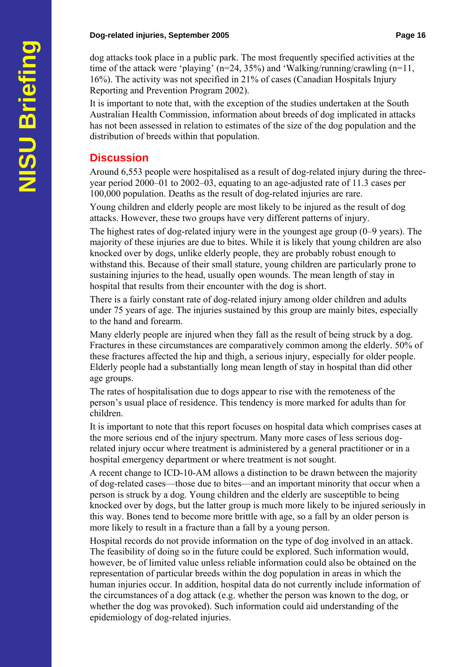dog attacks took place in a public park. The most frequently specified activities at the time of the attack were 'playing' ( $n=24$ , 35%) and 'Walking/running/crawling ( $n=11$ , 16%). The activity was not specified in 21% of cases (Canadian Hospitals Injury Reporting and Prevention Program 2002).

It is important to note that, with the exception of the studies undertaken at the South Australian Health Commission, information about breeds of dog implicated in attacks has not been assessed in relation to estimates of the size of the dog population and the distribution of breeds within that population.

## **Discussion**

Around 6,553 people were hospitalised as a result of dog-related injury during the threeyear period 2000–01 to 2002–03, equating to an age-adjusted rate of 11.3 cases per 100,000 population. Deaths as the result of dog-related injuries are rare.

Young children and elderly people are most likely to be injured as the result of dog attacks. However, these two groups have very different patterns of injury.

The highest rates of dog-related injury were in the youngest age group (0–9 years). The majority of these injuries are due to bites. While it is likely that young children are also knocked over by dogs, unlike elderly people, they are probably robust enough to withstand this. Because of their small stature, young children are particularly prone to sustaining injuries to the head, usually open wounds. The mean length of stay in hospital that results from their encounter with the dog is short.

There is a fairly constant rate of dog-related injury among older children and adults under 75 years of age. The injuries sustained by this group are mainly bites, especially to the hand and forearm.

Many elderly people are injured when they fall as the result of being struck by a dog. Fractures in these circumstances are comparatively common among the elderly. 50% of these fractures affected the hip and thigh, a serious injury, especially for older people. Elderly people had a substantially long mean length of stay in hospital than did other age groups.

The rates of hospitalisation due to dogs appear to rise with the remoteness of the person's usual place of residence. This tendency is more marked for adults than for children.

It is important to note that this report focuses on hospital data which comprises cases at the more serious end of the injury spectrum. Many more cases of less serious dogrelated injury occur where treatment is administered by a general practitioner or in a hospital emergency department or where treatment is not sought.

A recent change to ICD-10-AM allows a distinction to be drawn between the majority of dog-related cases—those due to bites—and an important minority that occur when a person is struck by a dog. Young children and the elderly are susceptible to being knocked over by dogs, but the latter group is much more likely to be injured seriously in this way. Bones tend to become more brittle with age, so a fall by an older person is more likely to result in a fracture than a fall by a young person.

Hospital records do not provide information on the type of dog involved in an attack. The feasibility of doing so in the future could be explored. Such information would, however, be of limited value unless reliable information could also be obtained on the representation of particular breeds within the dog population in areas in which the human injuries occur. In addition, hospital data do not currently include information of the circumstances of a dog attack (e.g. whether the person was known to the dog, or whether the dog was provoked). Such information could aid understanding of the epidemiology of dog-related injuries.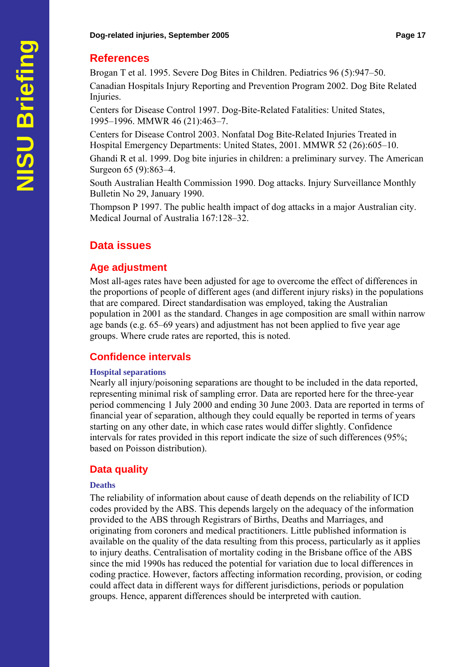#### **Dog-related injuries, September 2005 Page 17 April 2005** Page 17

#### **References**

Brogan T et al. 1995. Severe Dog Bites in Children. Pediatrics 96 (5):947–50.

Canadian Hospitals Injury Reporting and Prevention Program 2002. Dog Bite Related Injuries.

Centers for Disease Control 1997. Dog-Bite-Related Fatalities: United States, 1995–1996. MMWR 46 (21):463–7.

Centers for Disease Control 2003. Nonfatal Dog Bite-Related Injuries Treated in Hospital Emergency Departments: United States, 2001. MMWR 52 (26):605–10.

Ghandi R et al. 1999. Dog bite injuries in children: a preliminary survey. The American Surgeon 65 (9):863–4.

South Australian Health Commission 1990. Dog attacks. Injury Surveillance Monthly Bulletin No 29, January 1990.

Thompson P 1997. The public health impact of dog attacks in a major Australian city. Medical Journal of Australia 167:128–32.

## **Data issues**

#### **Age adjustment**

Most all-ages rates have been adjusted for age to overcome the effect of differences in the proportions of people of different ages (and different injury risks) in the populations that are compared. Direct standardisation was employed, taking the Australian population in 2001 as the standard. Changes in age composition are small within narrow age bands (e.g. 65–69 years) and adjustment has not been applied to five year age groups. Where crude rates are reported, this is noted.

## **Confidence intervals**

#### **Hospital separations**

Nearly all injury/poisoning separations are thought to be included in the data reported, representing minimal risk of sampling error. Data are reported here for the three-year period commencing 1 July 2000 and ending 30 June 2003. Data are reported in terms of financial year of separation, although they could equally be reported in terms of years starting on any other date, in which case rates would differ slightly. Confidence intervals for rates provided in this report indicate the size of such differences (95%; based on Poisson distribution).

## **Data quality**

#### **Deaths**

The reliability of information about cause of death depends on the reliability of ICD codes provided by the ABS. This depends largely on the adequacy of the information provided to the ABS through Registrars of Births, Deaths and Marriages, and originating from coroners and medical practitioners. Little published information is available on the quality of the data resulting from this process, particularly as it applies to injury deaths. Centralisation of mortality coding in the Brisbane office of the ABS since the mid 1990s has reduced the potential for variation due to local differences in coding practice. However, factors affecting information recording, provision, or coding could affect data in different ways for different jurisdictions, periods or population groups. Hence, apparent differences should be interpreted with caution.